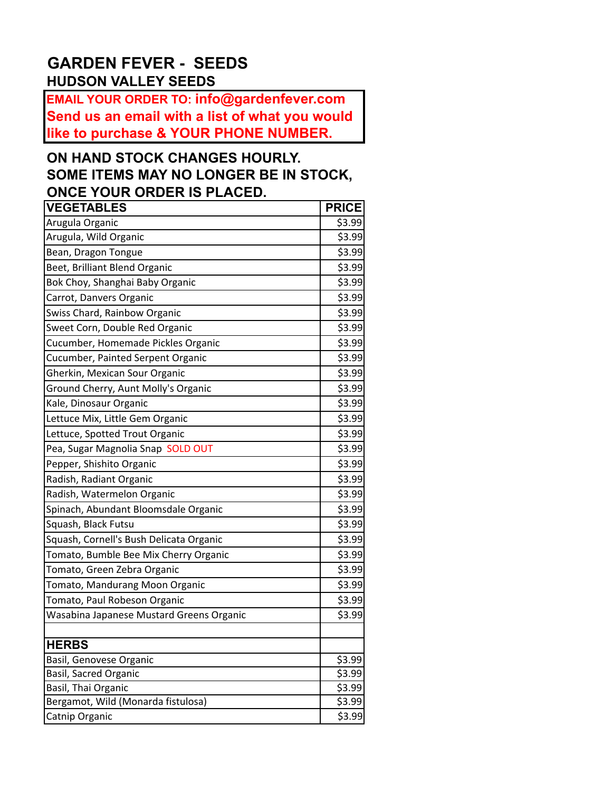## **GARDEN FEVER - SEEDS HUDSON VALLEY SEEDS**

**EMAIL YOUR ORDER TO: info@gardenfever.com Send us an email with a list of what you would like to purchase & YOUR PHONE NUMBER.**

## **ON HAND STOCK CHANGES HOURLY. SOME ITEMS MAY NO LONGER BE IN STOCK, ONCE YOUR ORDER IS PLACED.**

| <b>VEGETABLES</b>                        | <b>PRICE</b> |
|------------------------------------------|--------------|
| Arugula Organic                          | \$3.99       |
| Arugula, Wild Organic                    | \$3.99       |
| Bean, Dragon Tongue                      | \$3.99       |
| Beet, Brilliant Blend Organic            | \$3.99       |
| Bok Choy, Shanghai Baby Organic          | \$3.99       |
| Carrot, Danvers Organic                  | \$3.99       |
| Swiss Chard, Rainbow Organic             | \$3.99       |
| Sweet Corn, Double Red Organic           | \$3.99       |
| Cucumber, Homemade Pickles Organic       | \$3.99       |
| Cucumber, Painted Serpent Organic        | \$3.99       |
| Gherkin, Mexican Sour Organic            | \$3.99       |
| Ground Cherry, Aunt Molly's Organic      | \$3.99       |
| Kale, Dinosaur Organic                   | \$3.99       |
| Lettuce Mix, Little Gem Organic          | \$3.99       |
| Lettuce, Spotted Trout Organic           | \$3.99       |
| Pea, Sugar Magnolia Snap SOLD OUT        | \$3.99       |
| Pepper, Shishito Organic                 | \$3.99       |
| Radish, Radiant Organic                  | \$3.99       |
| Radish, Watermelon Organic               | \$3.99       |
| Spinach, Abundant Bloomsdale Organic     | \$3.99       |
| Squash, Black Futsu                      | \$3.99       |
| Squash, Cornell's Bush Delicata Organic  | \$3.99       |
| Tomato, Bumble Bee Mix Cherry Organic    | \$3.99       |
| Tomato, Green Zebra Organic              | \$3.99       |
| Tomato, Mandurang Moon Organic           | \$3.99       |
| Tomato, Paul Robeson Organic             | \$3.99       |
| Wasabina Japanese Mustard Greens Organic | \$3.99       |
|                                          |              |
| <b>HERBS</b>                             |              |
| Basil, Genovese Organic                  | \$3.99       |
| Basil, Sacred Organic                    | 53.99        |
| Basil, Thai Organic                      | 53.99        |
| Bergamot, Wild (Monarda fistulosa)       | \$3.99       |
| Catnip Organic                           | \$3.99       |